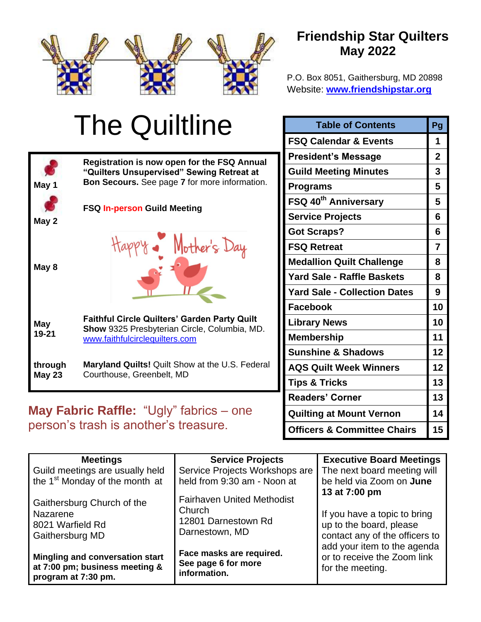

## **Friendship Star Quilters May 2022**

P.O. Box 8051, Gaithersburg, MD 20898 Website: **[www.friendshipstar.org](http://www.friendshipstar.org/)**

#### The Quiltline **Table of Contents** Pg **FSQ Calendar & Events 1 President's Message 2 Registration is now open for the FSQ Annual "Quilters Unsupervised" Sewing Retreat at Guild Meeting Minutes 3 Bon Secours.** See page **7** for more information. **May 1 Programs 5 FSQ 40th Anniversary 5 FSQ In-person Guild Meeting May 2** Mother's Day **May 8 Faithful Circle Quilters' Garden Party Quilt May Show** 9325 Presbyterian Circle, Columbia, MD. **19-21** [www.faithfulcirclequilters.com](http://www.faithfulcirclequilters.com/) **through Maryland Quilts!** Quilt Show at the U.S. Federal **May 23** Courthouse, Greenbelt, MD **May Fabric Raffle:** "Ugly" fabrics – one

# person's trash is another's treasure.

| FSQ 40 <sup>th</sup> Anniversary       |                |  |
|----------------------------------------|----------------|--|
| <b>Service Projects</b>                | 6              |  |
| <b>Got Scraps?</b>                     | 6              |  |
| <b>FSQ Retreat</b>                     | $\overline{7}$ |  |
| <b>Medallion Quilt Challenge</b>       | 8              |  |
| <b>Yard Sale - Raffle Baskets</b>      | 8              |  |
| <b>Yard Sale - Collection Dates</b>    | 9              |  |
| <b>Facebook</b>                        | 10             |  |
| <b>Library News</b>                    | 10             |  |
| <b>Membership</b>                      | 11             |  |
| <b>Sunshine &amp; Shadows</b>          | 12             |  |
| <b>AQS Quilt Week Winners</b>          | 12             |  |
| <b>Tips &amp; Tricks</b>               | 13             |  |
| <b>Readers' Corner</b>                 | 13             |  |
| <b>Quilting at Mount Vernon</b>        | 14             |  |
| <b>Officers &amp; Committee Chairs</b> | 15             |  |

| <b>Meetings</b>                                                                          | <b>Service Projects</b>                                                                                                                           | <b>Executive Board Meetings</b>                                                                            |
|------------------------------------------------------------------------------------------|---------------------------------------------------------------------------------------------------------------------------------------------------|------------------------------------------------------------------------------------------------------------|
| Guild meetings are usually held                                                          | Service Projects Workshops are                                                                                                                    | The next board meeting will                                                                                |
| the 1 <sup>st</sup> Monday of the month at                                               | held from 9:30 am - Noon at                                                                                                                       | be held via Zoom on June                                                                                   |
| Gaithersburg Church of the<br>Nazarene<br>8021 Warfield Rd<br>Gaithersburg MD            | <b>Fairhaven United Methodist</b><br>Church<br>12801 Darnestown Rd<br>Darnestown, MD                                                              | 13 at 7:00 pm<br>If you have a topic to bring<br>up to the board, please<br>contact any of the officers to |
| Mingling and conversation start<br>at 7:00 pm; business meeting &<br>program at 7:30 pm. | add your item to the agenda<br>Face masks are required.<br>or to receive the Zoom link<br>See page 6 for more<br>for the meeting.<br>information. |                                                                                                            |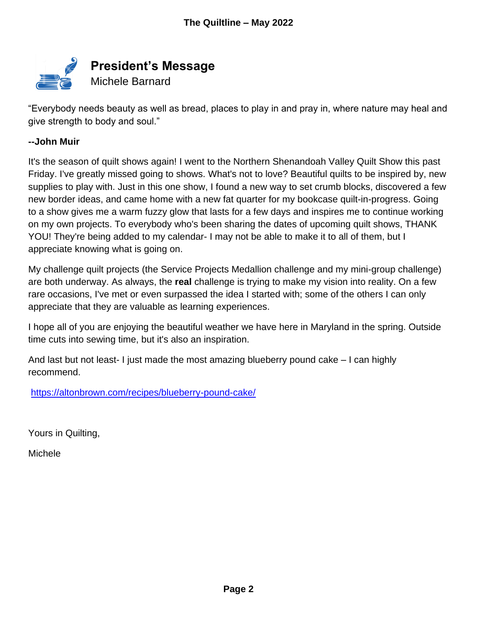

"Everybody needs beauty as well as bread, places to play in and pray in, where nature may heal and give strength to body and soul."

#### **--John Muir**

It's the season of quilt shows again! I went to the Northern Shenandoah Valley Quilt Show this past Friday. I've greatly missed going to shows. What's not to love? Beautiful quilts to be inspired by, new supplies to play with. Just in this one show, I found a new way to set crumb blocks, discovered a few new border ideas, and came home with a new fat quarter for my bookcase quilt-in-progress. Going to a show gives me a warm fuzzy glow that lasts for a few days and inspires me to continue working on my own projects. To everybody who's been sharing the dates of upcoming quilt shows, THANK YOU! They're being added to my calendar- I may not be able to make it to all of them, but I appreciate knowing what is going on.

My challenge quilt projects (the Service Projects Medallion challenge and my mini-group challenge) are both underway. As always, the **real** challenge is trying to make my vision into reality. On a few rare occasions, I've met or even surpassed the idea I started with; some of the others I can only appreciate that they are valuable as learning experiences.

I hope all of you are enjoying the beautiful weather we have here in Maryland in the spring. Outside time cuts into sewing time, but it's also an inspiration.

And last but not least- I just made the most amazing blueberry pound cake – I can highly recommend.

<https://altonbrown.com/recipes/blueberry-pound-cake/>

Yours in Quilting,

Michele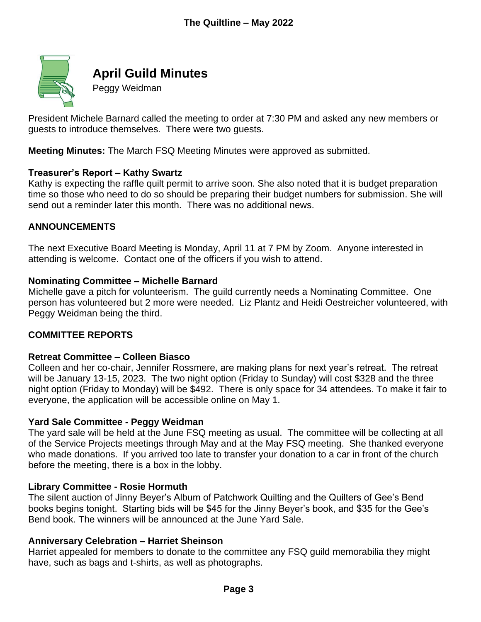

## **April Guild Minutes**

Peggy Weidman

President Michele Barnard called the meeting to order at 7:30 PM and asked any new members or guests to introduce themselves. There were two guests.

**Meeting Minutes:** The March FSQ Meeting Minutes were approved as submitted.

#### **Treasurer's Report – Kathy Swartz**

Kathy is expecting the raffle quilt permit to arrive soon. She also noted that it is budget preparation time so those who need to do so should be preparing their budget numbers for submission. She will send out a reminder later this month. There was no additional news.

#### **ANNOUNCEMENTS**

The next Executive Board Meeting is Monday, April 11 at 7 PM by Zoom. Anyone interested in attending is welcome. Contact one of the officers if you wish to attend.

#### **Nominating Committee – Michelle Barnard**

Michelle gave a pitch for volunteerism. The guild currently needs a Nominating Committee. One person has volunteered but 2 more were needed. Liz Plantz and Heidi Oestreicher volunteered, with Peggy Weidman being the third.

#### **COMMITTEE REPORTS**

#### **Retreat Committee – Colleen Biasco**

Colleen and her co-chair, Jennifer Rossmere, are making plans for next year's retreat. The retreat will be January 13-15, 2023. The two night option (Friday to Sunday) will cost \$328 and the three night option (Friday to Monday) will be \$492. There is only space for 34 attendees. To make it fair to everyone, the application will be accessible online on May 1.

#### **Yard Sale Committee - Peggy Weidman**

The yard sale will be held at the June FSQ meeting as usual. The committee will be collecting at all of the Service Projects meetings through May and at the May FSQ meeting. She thanked everyone who made donations. If you arrived too late to transfer your donation to a car in front of the church before the meeting, there is a box in the lobby.

#### **Library Committee - Rosie Hormuth**

The silent auction of Jinny Beyer's Album of Patchwork Quilting and the Quilters of Gee's Bend books begins tonight. Starting bids will be \$45 for the Jinny Beyer's book, and \$35 for the Gee's Bend book. The winners will be announced at the June Yard Sale.

#### **Anniversary Celebration – Harriet Sheinson**

Harriet appealed for members to donate to the committee any FSQ guild memorabilia they might have, such as bags and t-shirts, as well as photographs.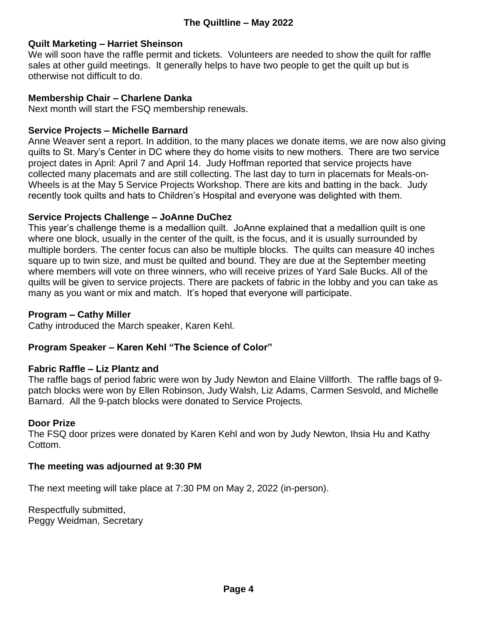#### **Quilt Marketing – Harriet Sheinson**

We will soon have the raffle permit and tickets. Volunteers are needed to show the quilt for raffle sales at other guild meetings. It generally helps to have two people to get the quilt up but is otherwise not difficult to do.

#### **Membership Chair – Charlene Danka**

Next month will start the FSQ membership renewals.

#### **Service Projects – Michelle Barnard**

Anne Weaver sent a report. In addition, to the many places we donate items, we are now also giving quilts to St. Mary's Center in DC where they do home visits to new mothers. There are two service project dates in April: April 7 and April 14. Judy Hoffman reported that service projects have collected many placemats and are still collecting. The last day to turn in placemats for Meals-on-Wheels is at the May 5 Service Projects Workshop. There are kits and batting in the back. Judy recently took quilts and hats to Children's Hospital and everyone was delighted with them.

#### **Service Projects Challenge – JoAnne DuChez**

This year's challenge theme is a medallion quilt. JoAnne explained that a medallion quilt is one where one block, usually in the center of the quilt, is the focus, and it is usually surrounded by multiple borders. The center focus can also be multiple blocks. The quilts can measure 40 inches square up to twin size, and must be quilted and bound. They are due at the September meeting where members will vote on three winners, who will receive prizes of Yard Sale Bucks. All of the quilts will be given to service projects. There are packets of fabric in the lobby and you can take as many as you want or mix and match. It's hoped that everyone will participate.

#### **Program – Cathy Miller**

Cathy introduced the March speaker, Karen Kehl.

#### **Program Speaker – Karen Kehl "The Science of Color"**

#### **Fabric Raffle – Liz Plantz and**

The raffle bags of period fabric were won by Judy Newton and Elaine Villforth. The raffle bags of 9 patch blocks were won by Ellen Robinson, Judy Walsh, Liz Adams, Carmen Sesvold, and Michelle Barnard. All the 9-patch blocks were donated to Service Projects.

#### **Door Prize**

The FSQ door prizes were donated by Karen Kehl and won by Judy Newton, Ihsia Hu and Kathy Cottom.

#### **The meeting was adjourned at 9:30 PM**

The next meeting will take place at 7:30 PM on May 2, 2022 (in-person).

Respectfully submitted, Peggy Weidman, Secretary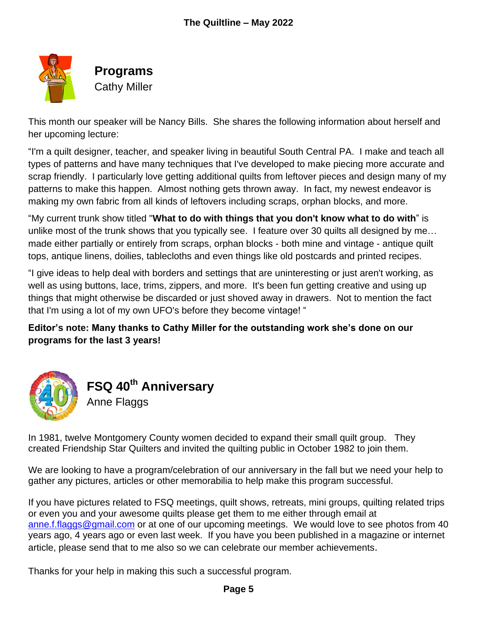

**Programs** Cathy Miller

This month our speaker will be Nancy Bills. She shares the following information about herself and her upcoming lecture:

"I'm a quilt designer, teacher, and speaker living in beautiful South Central PA. I make and teach all types of patterns and have many techniques that I've developed to make piecing more accurate and scrap friendly. I particularly love getting additional quilts from leftover pieces and design many of my patterns to make this happen. Almost nothing gets thrown away. In fact, my newest endeavor is making my own fabric from all kinds of leftovers including scraps, orphan blocks, and more.

"My current trunk show titled "**What to do with things that you don't know what to do with**" is unlike most of the trunk shows that you typically see. I feature over 30 quilts all designed by me… made either partially or entirely from scraps, orphan blocks - both mine and vintage - antique quilt tops, antique linens, doilies, tablecloths and even things like old postcards and printed recipes.

"I give ideas to help deal with borders and settings that are uninteresting or just aren't working, as well as using buttons, lace, trims, zippers, and more. It's been fun getting creative and using up things that might otherwise be discarded or just shoved away in drawers. Not to mention the fact that I'm using a lot of my own UFO's before they become vintage! "

**Editor's note: Many thanks to Cathy Miller for the outstanding work she's done on our programs for the last 3 years!**



In 1981, twelve Montgomery County women decided to expand their small quilt group. They created Friendship Star Quilters and invited the quilting public in October 1982 to join them.

We are looking to have a program/celebration of our anniversary in the fall but we need your help to gather any pictures, articles or other memorabilia to help make this program successful.

If you have pictures related to FSQ meetings, quilt shows, retreats, mini groups, quilting related trips or even you and your awesome quilts please get them to me either through email at [anne.f.flaggs@gmail.com](mailto:anne.f.flaggs@gmail.com) or at one of our upcoming meetings. We would love to see photos from 40 years ago, 4 years ago or even last week. If you have you been published in a magazine or internet article, please send that to me also so we can celebrate our member achievements.

Thanks for your help in making this such a successful program.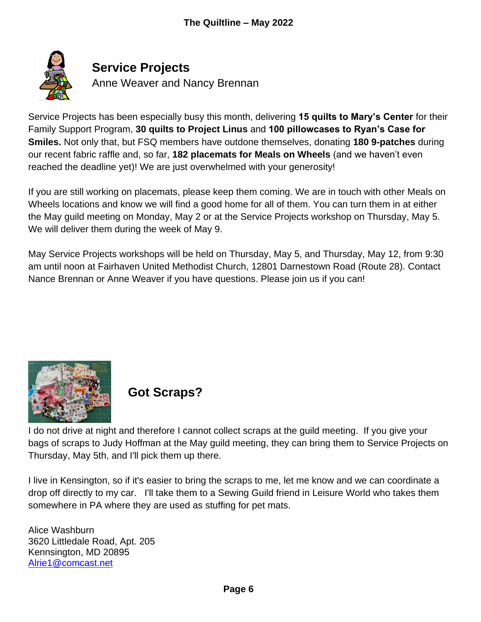

## **Service Projects**

Anne Weaver and Nancy Brennan

Service Projects has been especially busy this month, delivering **15 quilts to Mary's Center** for their Family Support Program, **30 quilts to Project Linus** and **100 pillowcases to Ryan's Case for Smiles.** Not only that, but FSQ members have outdone themselves, donating **180 9-patches** during our recent fabric raffle and, so far, **182 placemats for Meals on Wheels** (and we haven't even reached the deadline yet)! We are just overwhelmed with your generosity!

If you are still working on placemats, please keep them coming. We are in touch with other Meals on Wheels locations and know we will find a good home for all of them. You can turn them in at either the May guild meeting on Monday, May 2 or at the Service Projects workshop on Thursday, May 5. We will deliver them during the week of May 9.

May Service Projects workshops will be held on Thursday, May 5, and Thursday, May 12, from 9:30 am until noon at Fairhaven United Methodist Church, 12801 Darnestown Road (Route 28). Contact Nance Brennan or Anne Weaver if you have questions. Please join us if you can!



## **Got Scraps?**

I do not drive at night and therefore I cannot collect scraps at the guild meeting. If you give your bags of scraps to Judy Hoffman at the May guild meeting, they can bring them to Service Projects on Thursday, May 5th, and I'll pick them up there.

I live in Kensington, so if it's easier to bring the scraps to me, let me know and we can coordinate a drop off directly to my car. I'll take them to a Sewing Guild friend in Leisure World who takes them somewhere in PA where they are used as stuffing for pet mats.

Alice Washburn 3620 Littledale Road, Apt. 205 Kennsington, MD 20895 [Alrie1@comcast.net](mailto:Alrie1@comcast.net)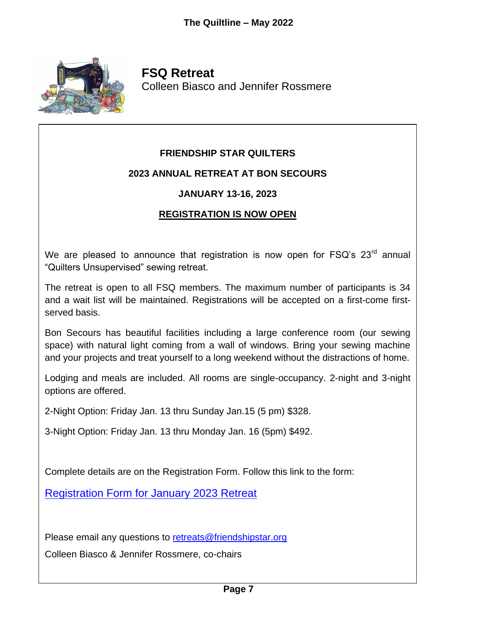

**FSQ Retreat** Colleen Biasco and Jennifer Rossmere

#### **FRIENDSHIP STAR QUILTERS**

#### **2023 ANNUAL RETREAT AT BON SECOURS**

#### **JANUARY 13-16, 2023**

#### **REGISTRATION IS NOW OPEN**

We are pleased to announce that registration is now open for  $FSQ$ 's  $23<sup>rd</sup>$  annual "Quilters Unsupervised" sewing retreat.

The retreat is open to all FSQ members. The maximum number of participants is 34 and a wait list will be maintained. Registrations will be accepted on a first-come firstserved basis.

Bon Secours has beautiful facilities including a large conference room (our sewing space) with natural light coming from a wall of windows. Bring your sewing machine and your projects and treat yourself to a long weekend without the distractions of home.

Lodging and meals are included. All rooms are single-occupancy. 2-night and 3-night options are offered.

2-Night Option: Friday Jan. 13 thru Sunday Jan.15 (5 pm) \$328.

3-Night Option: Friday Jan. 13 thru Monday Jan. 16 (5pm) \$492.

Complete details are on the Registration Form. Follow this link to the form:

[Registration Form for January 2023 Retreat](https://friendshipstar.org/wp-content/uploads/2022/04/Jan.-2023-Retreat-Registration.pdf)

Please email any questions to [retreats@friendshipstar.org](mailto:retreats@friendshipstar.org)

Colleen Biasco & Jennifer Rossmere, co-chairs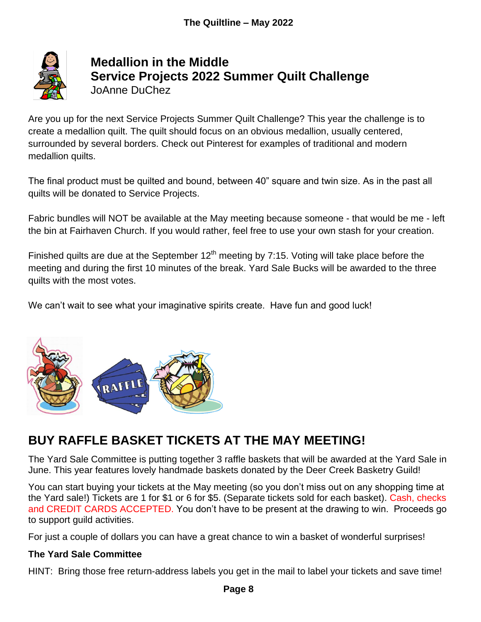

## **Medallion in the Middle Service Projects 2022 Summer Quilt Challenge** JoAnne DuChez

Are you up for the next Service Projects Summer Quilt Challenge? This year the challenge is to create a medallion quilt. The quilt should focus on an obvious medallion, usually centered, surrounded by several borders. Check out Pinterest for examples of traditional and modern medallion quilts.

The final product must be quilted and bound, between 40" square and twin size. As in the past all quilts will be donated to Service Projects.

Fabric bundles will NOT be available at the May meeting because someone - that would be me - left the bin at Fairhaven Church. If you would rather, feel free to use your own stash for your creation.

Finished quilts are due at the September  $12<sup>th</sup>$  meeting by 7:15. Voting will take place before the meeting and during the first 10 minutes of the break. Yard Sale Bucks will be awarded to the three quilts with the most votes.

We can't wait to see what your imaginative spirits create. Have fun and good luck!



## **BUY RAFFLE BASKET TICKETS AT THE MAY MEETING!**

The Yard Sale Committee is putting together 3 raffle baskets that will be awarded at the Yard Sale in June. This year features lovely handmade baskets donated by the Deer Creek Basketry Guild!

You can start buying your tickets at the May meeting (so you don't miss out on any shopping time at the Yard sale!) Tickets are 1 for \$1 or 6 for \$5. (Separate tickets sold for each basket). Cash, checks and CREDIT CARDS ACCEPTED. You don't have to be present at the drawing to win. Proceeds go to support guild activities.

For just a couple of dollars you can have a great chance to win a basket of wonderful surprises!

#### **The Yard Sale Committee**

HINT: Bring those free return-address labels you get in the mail to label your tickets and save time!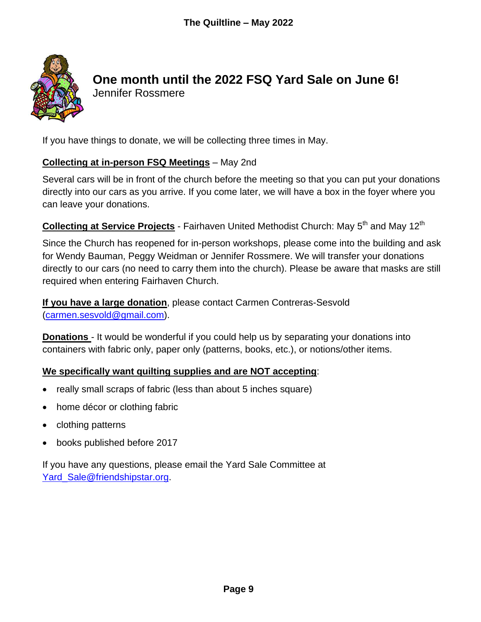

## **One month until the 2022 FSQ Yard Sale on June 6!**

Jennifer Rossmere

If you have things to donate, we will be collecting three times in May.

#### **Collecting at in-person FSQ Meetings** – May 2nd

Several cars will be in front of the church before the meeting so that you can put your donations directly into our cars as you arrive. If you come later, we will have a box in the foyer where you can leave your donations.

## **Collecting at Service Projects** - Fairhaven United Methodist Church: May 5<sup>th</sup> and May 12<sup>th</sup>

Since the Church has reopened for in-person workshops, please come into the building and ask for Wendy Bauman, Peggy Weidman or Jennifer Rossmere. We will transfer your donations directly to our cars (no need to carry them into the church). Please be aware that masks are still required when entering Fairhaven Church.

**If you have a large donation**, please contact Carmen Contreras-Sesvold [\(carmen.sesvold@gmail.com\)](mailto:carmen.sesvold@gmail.com).

**Donations** - It would be wonderful if you could help us by separating your donations into containers with fabric only, paper only (patterns, books, etc.), or notions/other items.

#### **We specifically want quilting supplies and are NOT accepting**:

- really small scraps of fabric (less than about 5 inches square)
- home décor or clothing fabric
- clothing patterns
- books published before 2017

If you have any questions, please email the Yard Sale Committee at Yard Sale@friendshipstar.org.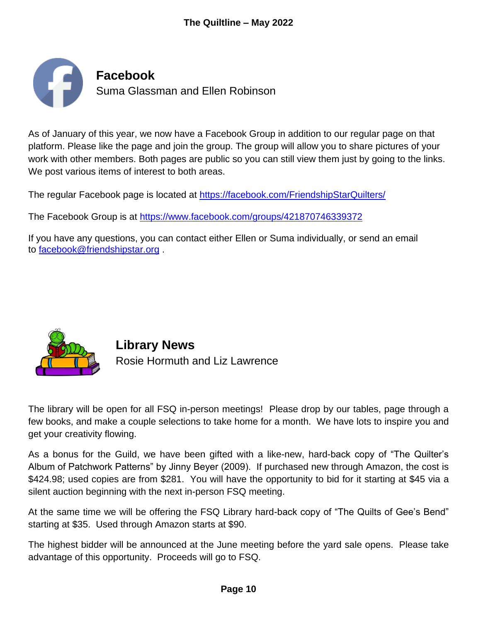

As of January of this year, we now have a Facebook Group in addition to our regular page on that platform. Please like the page and join the group. The group will allow you to share pictures of your work with other members. Both pages are public so you can still view them just by going to the links. We post various items of interest to both areas.

The regular Facebook page is located at <https://facebook.com/FriendshipStarQuilters/>

The Facebook Group is at <https://www.facebook.com/groups/421870746339372>

If you have any questions, you can contact either Ellen or Suma individually, or send an email to [facebook@friendshipstar.org](mailto:facebook@friendshipstar.org) .



**Library News** Rosie Hormuth and Liz Lawrence

The library will be open for all FSQ in-person meetings! Please drop by our tables, page through a few books, and make a couple selections to take home for a month. We have lots to inspire you and get your creativity flowing.

As a bonus for the Guild, we have been gifted with a like-new, hard-back copy of "The Quilter's Album of Patchwork Patterns" by Jinny Beyer (2009). If purchased new through Amazon, the cost is \$424.98; used copies are from \$281. You will have the opportunity to bid for it starting at \$45 via a silent auction beginning with the next in-person FSQ meeting.

At the same time we will be offering the FSQ Library hard-back copy of "The Quilts of Gee's Bend" starting at \$35. Used through Amazon starts at \$90.

The highest bidder will be announced at the June meeting before the yard sale opens. Please take advantage of this opportunity. Proceeds will go to FSQ.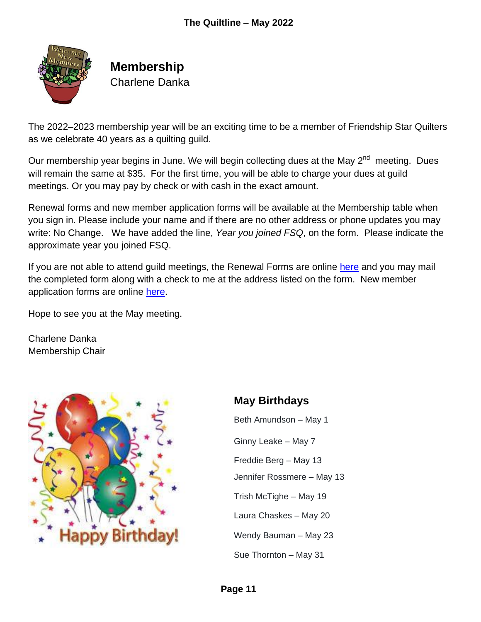

### **Membership** Charlene Danka

The 2022–2023 membership year will be an exciting time to be a member of Friendship Star Quilters as we celebrate 40 years as a quilting guild.

Our membership year begins in June. We will begin collecting dues at the May  $2^{nd}$  meeting. Dues will remain the same at \$35. For the first time, you will be able to charge your dues at quild meetings. Or you may pay by check or with cash in the exact amount.

Renewal forms and new member application forms will be available at the Membership table when you sign in. Please include your name and if there are no other address or phone updates you may write: No Change. We have added the line, *Year you joined FSQ*, on the form. Please indicate the approximate year you joined FSQ.

If you are not able to attend guild meetings, the Renewal Forms are online [here](https://friendshipstar.org/wp-content/uploads/2022/04/FSQ-Membership-Renewal-Form-2022-2023.pdf) and you may mail the completed form along with a check to me at the address listed on the form. New member application forms are online [here.](https://friendshipstar.org/wp-content/uploads/2022/04/FSQ-New-Member-Form-3-2022-2023.pdf)

Hope to see you at the May meeting.

Charlene Danka Membership Chair



## **May Birthdays**

Beth Amundson – May 1 Ginny Leake – May 7 Freddie Berg – May 13 Jennifer Rossmere – May 13 Trish McTighe – May 19 Laura Chaskes – May 20 Wendy Bauman – May 23 Sue Thornton – May 31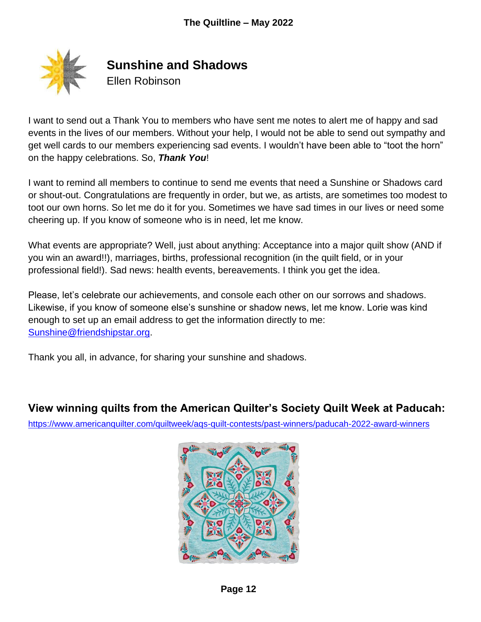

**Sunshine and Shadows**

Ellen Robinson

I want to send out a Thank You to members who have sent me notes to alert me of happy and sad events in the lives of our members. Without your help, I would not be able to send out sympathy and get well cards to our members experiencing sad events. I wouldn't have been able to "toot the horn" on the happy celebrations. So, *Thank You*!

I want to remind all members to continue to send me events that need a Sunshine or Shadows card or shout-out. Congratulations are frequently in order, but we, as artists, are sometimes too modest to toot our own horns. So let me do it for you. Sometimes we have sad times in our lives or need some cheering up. If you know of someone who is in need, let me know.

What events are appropriate? Well, just about anything: Acceptance into a major quilt show (AND if you win an award!!), marriages, births, professional recognition (in the quilt field, or in your professional field!). Sad news: health events, bereavements. I think you get the idea.

Please, let's celebrate our achievements, and console each other on our sorrows and shadows. Likewise, if you know of someone else's sunshine or shadow news, let me know. Lorie was kind enough to set up an email address to get the information directly to me: [Sunshine@friendshipstar.org.](mailto:Sunshine@friendshipstar.org)

Thank you all, in advance, for sharing your sunshine and shadows.

#### **View winning quilts from the American Quilter's Society Quilt Week at Paducah:**

<https://www.americanquilter.com/quiltweek/aqs-quilt-contests/past-winners/paducah-2022-award-winners>

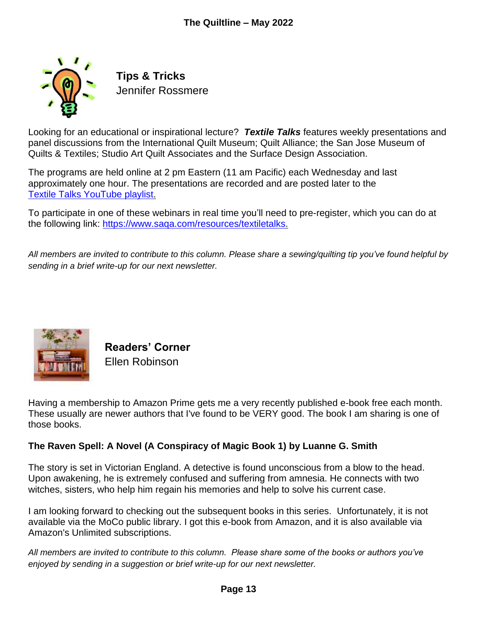

**Tips & Tricks** Jennifer Rossmere

Looking for an educational or inspirational lecture? *Textile Talks* features weekly presentations and panel discussions from the International Quilt Museum; Quilt Alliance; the San Jose Museum of Quilts & Textiles; Studio Art Quilt Associates and the Surface Design Association.

The programs are held online at 2 pm Eastern (11 am Pacific) each Wednesday and last approximately one hour. The presentations are recorded and are posted later to the [Textile Talks YouTube playlist.](https://www.youtube.com/playlist?list=PLXsBpWjk3xVCTzucHkrU3ly5NlLa7mW3f)

To participate in one of these webinars in real time you'll need to pre-register, which you can do at the following link: [https://www.saqa.com/resources/textiletalks.](https://www.saqa.com/resources/textiletalks)

*All members are invited to contribute to this column. Please share a sewing/quilting tip you've found helpful by sending in a brief write-up for our next newsletter.*



**Readers' Corner** Ellen Robinson

Having a membership to Amazon Prime gets me a very recently published e-book free each month. These usually are newer authors that I've found to be VERY good. The book I am sharing is one of those books.

#### **The Raven Spell: A Novel (A Conspiracy of Magic Book 1) by Luanne G. Smith**

The story is set in Victorian England. A detective is found unconscious from a blow to the head. Upon awakening, he is extremely confused and suffering from amnesia. He connects with two witches, sisters, who help him regain his memories and help to solve his current case.

I am looking forward to checking out the subsequent books in this series. Unfortunately, it is not available via the MoCo public library. I got this e-book from Amazon, and it is also available via Amazon's Unlimited subscriptions.

*All members are invited to contribute to this column. Please share some of the books or authors you've enjoyed by sending in a suggestion or brief write-up for our next newsletter.*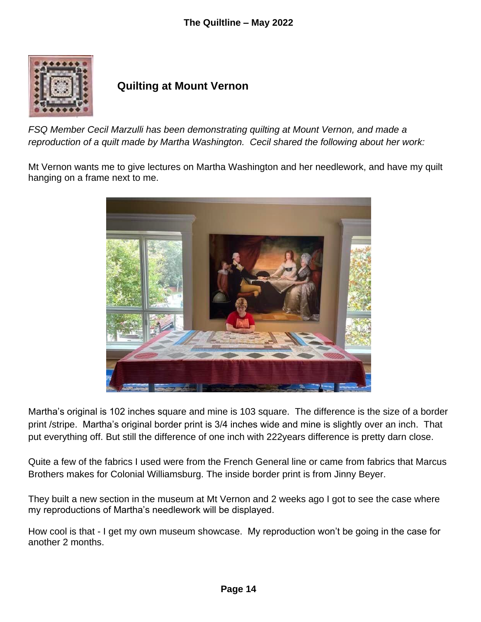

#### **Quilting at Mount Vernon**

*FSQ Member Cecil Marzulli has been demonstrating quilting at Mount Vernon, and made a reproduction of a quilt made by Martha Washington. Cecil shared the following about her work:*

Mt Vernon wants me to give lectures on Martha Washington and her needlework, and have my quilt hanging on a frame next to me.



Martha's original is 102 inches square and mine is 103 square. The difference is the size of a border print /stripe. Martha's original border print is 3/4 inches wide and mine is slightly over an inch. That put everything off. But still the difference of one inch with 222years difference is pretty darn close.

Quite a few of the fabrics I used were from the French General line or came from fabrics that Marcus Brothers makes for Colonial Williamsburg. The inside border print is from Jinny Beyer.

They built a new section in the museum at Mt Vernon and 2 weeks ago I got to see the case where my reproductions of Martha's needlework will be displayed.

How cool is that - I get my own museum showcase. My reproduction won't be going in the case for another 2 months.